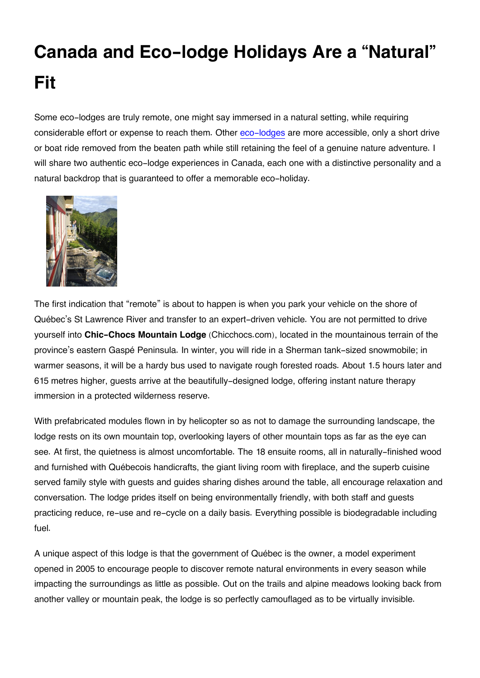## **Canada and Eco-lodge Holidays Are a "Natural" Fit**

Some eco-lodges are truly remote, one might say immersed in a natural setting, while requiring considerable effort or expense to reach them. Other [eco-lodges](http://www.expedia.ca/Hotels) are more accessible, only a short drive or boat ride removed from the beaten path while still retaining the feel of a genuine nature adventure. I will share two authentic eco-lodge experiences in Canada, each one with a distinctive personality and a natural backdrop that is guaranteed to offer a memorable eco-holiday.



The first indication that "remote" is about to happen is when you park your vehicle on the shore of Québec's St Lawrence River and transfer to an expert-driven vehicle. You are not permitted to drive yourself into **Chic-Chocs Mountain Lodge** (Chicchocs.com), located in the mountainous terrain of the province's eastern Gaspé Peninsula. In winter, you will ride in a Sherman tank-sized snowmobile; in warmer seasons, it will be a hardy bus used to navigate rough forested roads. About 1.5 hours later and 615 metres higher, guests arrive at the beautifully-designed lodge, offering instant nature therapy immersion in a protected wilderness reserve.

With prefabricated modules flown in by helicopter so as not to damage the surrounding landscape, the lodge rests on its own mountain top, overlooking layers of other mountain tops as far as the eye can see. At first, the quietness is almost uncomfortable. The 18 ensuite rooms, all in naturally-finished wood and furnished with Québecois handicrafts, the giant living room with fireplace, and the superb cuisine served family style with guests and guides sharing dishes around the table, all encourage relaxation and conversation. The lodge prides itself on being environmentally friendly, with both staff and guests practicing reduce, re-use and re-cycle on a daily basis. Everything possible is biodegradable including fuel.

A unique aspect of this lodge is that the government of Québec is the owner, a model experiment opened in 2005 to encourage people to discover remote natural environments in every season while impacting the surroundings as little as possible. Out on the trails and alpine meadows looking back from another valley or mountain peak, the lodge is so perfectly camouflaged as to be virtually invisible.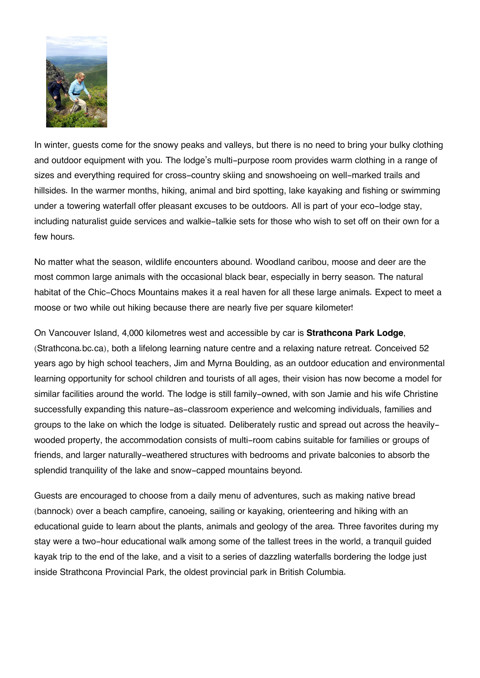

In winter, guests come for the snowy peaks and valleys, but there is no need to bring your bulky clothing and outdoor equipment with you. The lodge's multi-purpose room provides warm clothing in a range of sizes and everything required for cross-country skiing and snowshoeing on well-marked trails and hillsides. In the warmer months, hiking, animal and bird spotting, lake kayaking and fishing or swimming under a towering waterfall offer pleasant excuses to be outdoors. All is part of your eco-lodge stay, including naturalist guide services and walkie-talkie sets for those who wish to set off on their own for a few hours.

No matter what the season, wildlife encounters abound. Woodland caribou, moose and deer are the most common large animals with the occasional black bear, especially in berry season. The natural habitat of the Chic-Chocs Mountains makes it a real haven for all these large animals. Expect to meet a moose or two while out hiking because there are nearly five per square kilometer!

On Vancouver Island, 4,000 kilometres west and accessible by car is **Strathcona Park Lodge**, (Strathcona.bc.ca), both a lifelong learning nature centre and a relaxing nature retreat. Conceived 52 years ago by high school teachers, Jim and Myrna Boulding, as an outdoor education and environmental learning opportunity for school children and tourists of all ages, their vision has now become a model for similar facilities around the world. The lodge is still family-owned, with son Jamie and his wife Christine successfully expanding this nature-as-classroom experience and welcoming individuals, families and groups to the lake on which the lodge is situated. Deliberately rustic and spread out across the heavilywooded property, the accommodation consists of multi-room cabins suitable for families or groups of friends, and larger naturally-weathered structures with bedrooms and private balconies to absorb the splendid tranquility of the lake and snow-capped mountains beyond.

Guests are encouraged to choose from a daily menu of adventures, such as making native bread (bannock) over a beach campfire, canoeing, sailing or kayaking, orienteering and hiking with an educational guide to learn about the plants, animals and geology of the area. Three favorites during my stay were a two-hour educational walk among some of the tallest trees in the world, a tranquil guided kayak trip to the end of the lake, and a visit to a series of dazzling waterfalls bordering the lodge just inside Strathcona Provincial Park, the oldest provincial park in British Columbia.